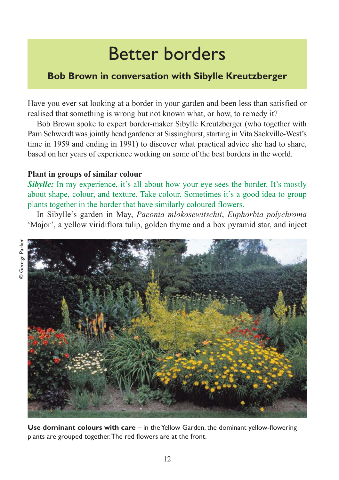# Better borders

## **Bob Brown in conversation with Sibylle Kreutzberger**

Have you ever sat looking at a border in your garden and been less than satisfied or realised that something is wrong but not known what, or how, to remedy it?

Bob Brown spoke to expert border-maker Sibylle Kreutzberger (who together with Pam Schwerdt was jointly head gardener at Sissinghurst, starting in Vita Sackville-West's time in 1959 and ending in 1991) to discover what practical advice she had to share, based on her years of experience working on some of the best borders in the world.

### **Plant in groups of similar colour**

*Sibylle:* In my experience, it's all about how your eye sees the border. It's mostly about shape, colour, and texture. Take colour. Sometimes it's a good idea to group plants together in the border that have similarly coloured flowers.

In Sibylle's garden in May, *Paeonia mlokosewitschii*, *Euphorbia polychroma* 'Major', a yellow viridiflora tulip, golden thyme and a box pyramid star, and inject



**Use dominant colours with care** – in the Yellow Garden, the dominant yellow-flowering plants are grouped together. The red flowers are at the front.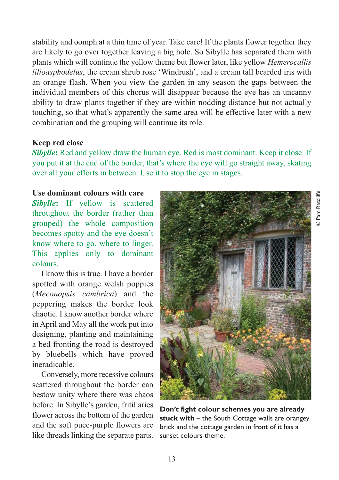stability and oomph at a thin time of year. Take care! If the plants flower together they are likely to go over together leaving a big hole. So Sibylle has separated them with plants which will continue the yellow theme but flower later, like yellow *Hemerocallis lilioasphodelus*, the cream shrub rose 'Windrush', and a cream tall bearded iris with an orange flash. When you view the garden in any season the gaps between the individual members of this chorus will disappear because the eye has an uncanny ability to draw plants together if they are within nodding distance but not actually touching, so that what's apparently the same area will be effective later with a new combination and the grouping will continue its role.

#### **Keep red close**

*Sibylle***:** Red and yellow draw the human eye. Red is most dominant. Keep it close. If you put it at the end of the border, that's where the eye will go straight away, skating over all your efforts in between. Use it to stop the eye in stages.

#### **Use dominant colours with care**

*Sibylle***:** If yellow is scattered throughout the border (rather than grouped) the whole composition becomes spotty and the eye doesn't know where to go, where to linger. This applies only to dominant colours.

I know this is true. I have a border spotted with orange welsh poppies (*Meconopsis cambrica*) and the peppering makes the border look chaotic. I know another border where in April and May all the work put into designing, planting and maintaining a bed fronting the road is destroyed by bluebells which have proved ineradicable.

Conversely, more recessive colours scattered throughout the border can bestow unity where there was chaos before. In Sibylle's garden, fritillaries flower across the bottom of the garden and the soft puce-purple flowers are like threads linking the separate parts.



© Pam Ratcliffe © Pam Ratcliffe



sunset colours theme.

13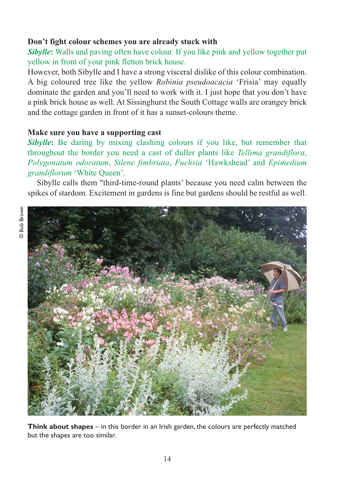#### **Don't fight colour schemes you are already stuck with**

*Sibylle***:** Walls and paving often have colour. If you like pink and yellow together put yellow in front of your pink fletton brick house.

However, both Sibylle and I have a strong visceral dislike of this colour combination. A big coloured tree like the yellow *Robinia pseudoacacia* 'Frisia' may equally dominate the garden and you'll need to work with it. I just hope that you don't have a pink brick house as well. At Sissinghurst the South Cottage walls are orangey brick and the cottage garden in front of it has a sunset-colours theme.

#### **Make sure you have a supporting cast**

**Sibylle:** Be daring by mixing clashing colours if you like, but remember that throughout the border you need a cast of duller plants like *Tellima grandiflora*, *Polygonatum odoratum*, *Silene fimbriata*, *Fuchsia* 'Hawkshead' and *Epimedium grandiflorum* 'White Queen'.

Sibylle calls them "third-time-round plants' because you need calm between the spikes of stardom. Excitement in gardens is fine but gardens should be restful as well.



**Think about shapes** – in this border in an Irish garden, the colours are perfectly matched but the shapes are too similar.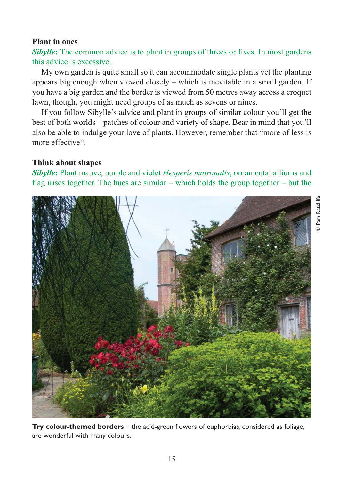#### **Plant in ones**

**Sibylle:** The common advice is to plant in groups of threes or fives. In most gardens this advice is excessive.

My own garden is quite small so it can accommodate single plants yet the planting appears big enough when viewed closely – which is inevitable in a small garden. If you have a big garden and the border is viewed from 50 metres away across a croquet lawn, though, you might need groups of as much as sevens or nines.

If you follow Sibylle's advice and plant in groups of similar colour you'll get the best of both worlds – patches of colour and variety of shape. Bear in mind that you'll also be able to indulge your love of plants. However, remember that "more of less is more effective".

#### **Think about shapes**

*Sibylle***:** Plant mauve, purple and violet *Hesperis matronalis*, ornamental alliums and flag irises together. The hues are similar – which holds the group together – but the



**Try colour-themed borders** – the acid-green flowers of euphorbias, considered as foliage, are wonderful with many colours.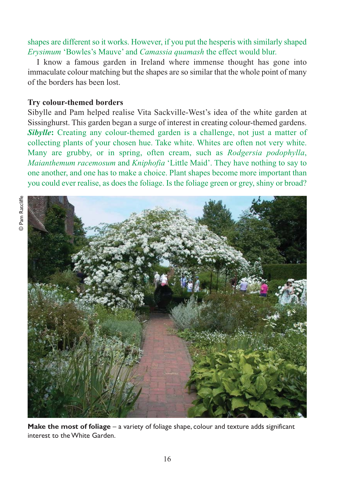#### shapes are different so it works. However, if you put the hesperis with similarly shaped *Erysimum* 'Bowles's Mauve' and *Camassia quamash* the effect would blur.

I know a famous garden in Ireland where immense thought has gone into immaculate colour matching but the shapes are so similar that the whole point of many of the borders has been lost.

#### **Try colour-themed borders**

Sibylle and Pam helped realise Vita Sackville-West's idea of the white garden at Sissinghurst. This garden began a surge of interest in creating colour-themed gardens. *Sibylle***:** Creating any colour-themed garden is a challenge, not just a matter of collecting plants of your chosen hue. Take white. Whites are often not very white. Many are grubby, or in spring, often cream, such as *Rodgersia podophylla*, *Maianthemum racemosum* and *Kniphofia* 'Little Maid'. They have nothing to say to one another, and one has to make a choice. Plant shapes become more important than you could ever realise, as does the foliage. Is the foliage green or grey, shiny or broad?



Make the most of foliage - a variety of foliage shape, colour and texture adds significant interest to the White Garden.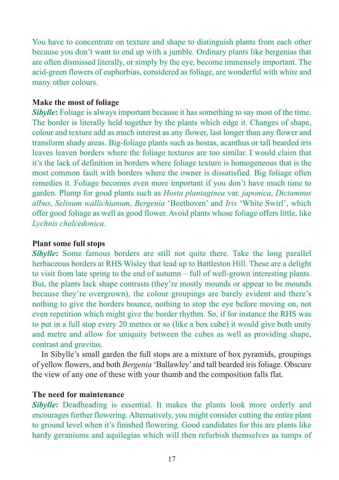You have to concentrate on texture and shape to distinguish plants from each other because you don't want to end up with a jumble. Ordinary plants like bergenias that are often dismissed literally, or simply by the eye, become immensely important. The acid-green flowers of euphorbias, considered as foliage, are wonderful with white and many other colours.

#### **Make the most of foliage**

*Sibylle***:** Foliage is always important because it has something to say most of the time. The border is literally held together by the plants which edge it. Changes of shape, colour and texture add as much interest as any flower, last longer than any flower and transform shady areas. Big-foliage plants such as hostas, acanthus or tall bearded iris leaves leaven borders where the foliage textures are too similar. I would claim that it's the lack of definition in borders where foliage texture is homogeneous that is the most common fault with borders where the owner is dissatisfied. Big foliage often remedies it. Foliage becomes even more important if you don't have much time to garden. Plump for good plants such as *Hosta plantaginea* var. *japonica*, *Dictamnus albus*, *Selinum wallichianum*, *Bergenia* 'Beethoven' and *Iris* 'White Swirl', which offer good foliage as well as good flower. Avoid plants whose foliage offers little, like *Lychnis chalcedonica*.

#### **Plant some full stops**

*Sibylle***:** Some famous borders are still not quite there. Take the long parallel herbaceous borders at RHS Wisley that lead up to Battleston Hill. These are a delight to visit from late spring to the end of autumn – full of well-grown interesting plants. But, the plants lack shape contrasts (they're mostly mounds or appear to be mounds because they're overgrown), the colour groupings are barely evident and there's nothing to give the borders bounce, nothing to stop the eye before moving on, not even repetition which might give the border rhythm. So, if for instance the RHS was to put in a full stop every 20 metres or so (like a box cube) it would give both unity and metre and allow for uniquity between the cubes as well as providing shape, contrast and gravitas.

In Sibylle's small garden the full stops are a mixture of box pyramids, groupings of yellow flowers, and both *Bergenia* 'Ballawley' and tall bearded iris foliage. Obscure the view of any one of these with your thumb and the composition falls flat.

#### **The need for maintenance**

*Sibylle***:** Deadheading is essential. It makes the plants look more orderly and encourages further flowering. Alternatively, you might consider cutting the entire plant to ground level when it's finished flowering. Good candidates for this are plants like hardy geraniums and aquilegias which will then refurbish themselves as tumps of